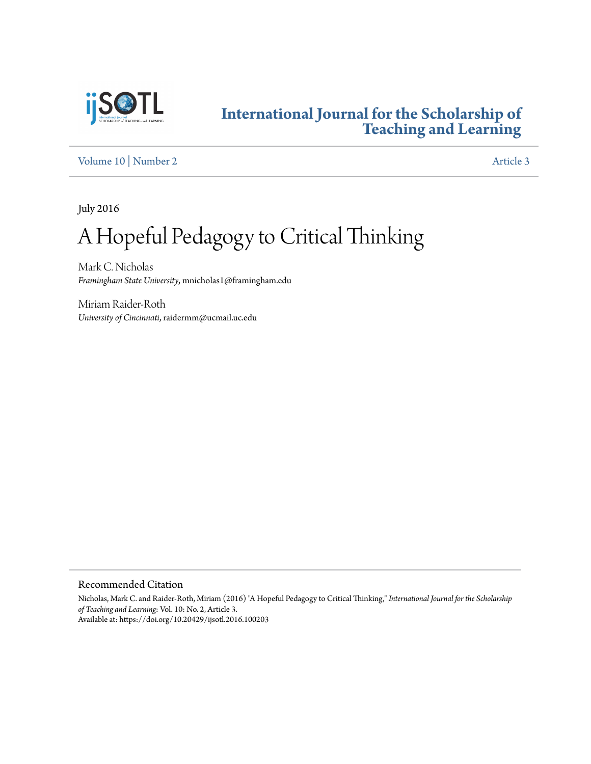

# **[International Journal for the Scholarship of](https://digitalcommons.georgiasouthern.edu/ij-sotl?utm_source=digitalcommons.georgiasouthern.edu%2Fij-sotl%2Fvol10%2Fiss2%2F3&utm_medium=PDF&utm_campaign=PDFCoverPages) [Teaching and Learning](https://digitalcommons.georgiasouthern.edu/ij-sotl?utm_source=digitalcommons.georgiasouthern.edu%2Fij-sotl%2Fvol10%2Fiss2%2F3&utm_medium=PDF&utm_campaign=PDFCoverPages)**

[Volume 10](https://digitalcommons.georgiasouthern.edu/ij-sotl/vol10?utm_source=digitalcommons.georgiasouthern.edu%2Fij-sotl%2Fvol10%2Fiss2%2F3&utm_medium=PDF&utm_campaign=PDFCoverPages) | [Number 2](https://digitalcommons.georgiasouthern.edu/ij-sotl/vol10/iss2?utm_source=digitalcommons.georgiasouthern.edu%2Fij-sotl%2Fvol10%2Fiss2%2F3&utm_medium=PDF&utm_campaign=PDFCoverPages) [Article 3](https://digitalcommons.georgiasouthern.edu/ij-sotl/vol10/iss2/3?utm_source=digitalcommons.georgiasouthern.edu%2Fij-sotl%2Fvol10%2Fiss2%2F3&utm_medium=PDF&utm_campaign=PDFCoverPages)

July 2016

# A Hopeful Pedagogy to Critical Thinking

Mark C. Nicholas *Framingham State University*, mnicholas1@framingham.edu

Miriam Raider-Roth *University of Cincinnati*, raidermm@ucmail.uc.edu

Recommended Citation

Nicholas, Mark C. and Raider-Roth, Miriam (2016) "A Hopeful Pedagogy to Critical Thinking," *International Journal for the Scholarship of Teaching and Learning*: Vol. 10: No. 2, Article 3. Available at: https://doi.org/10.20429/ijsotl.2016.100203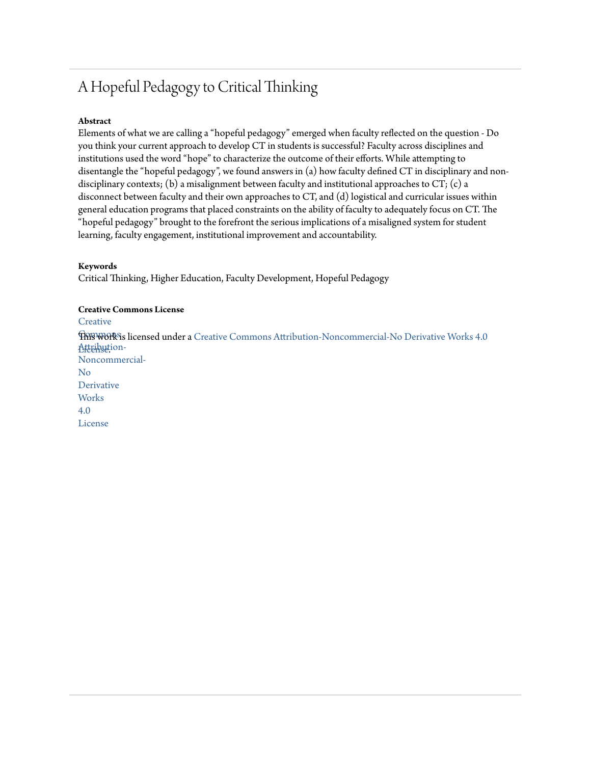# A Hopeful Pedagogy to Critical Thinking

# **Abstract**

Elements of what we are calling a "hopeful pedagogy" emerged when faculty reflected on the question - Do you think your current approach to develop CT in students is successful? Faculty across disciplines and institutions used the word "hope" to characterize the outcome of their efforts. While attempting to disentangle the "hopeful pedagogy", we found answers in (a) how faculty defined CT in disciplinary and nondisciplinary contexts; (b) a misalignment between faculty and institutional approaches to CT; (c) a disconnect between faculty and their own approaches to CT, and (d) logistical and curricular issues within general education programs that placed constraints on the ability of faculty to adequately focus on CT. The "hopeful pedagogy" brought to the forefront the serious implications of a misaligned system for student learning, faculty engagement, institutional improvement and accountability.

#### **Keywords**

Critical Thinking, Higher Education, Faculty Development, Hopeful Pedagogy

#### **Creative Commons License**

**[Creative](https://creativecommons.org/licenses/by-nc-nd/4.0/)** 

 $\widehat{\text{TRFWOR}}$ is licensed under a [Creative Commons Attribution-Noncommercial-No Derivative Works 4.0](https://creativecommons.org/licenses/by-nc-nd/4.0/) Attribution-[License.](https://creativecommons.org/licenses/by-nc-nd/4.0/)Noncommercial-No **Derivative Works** 4.0 License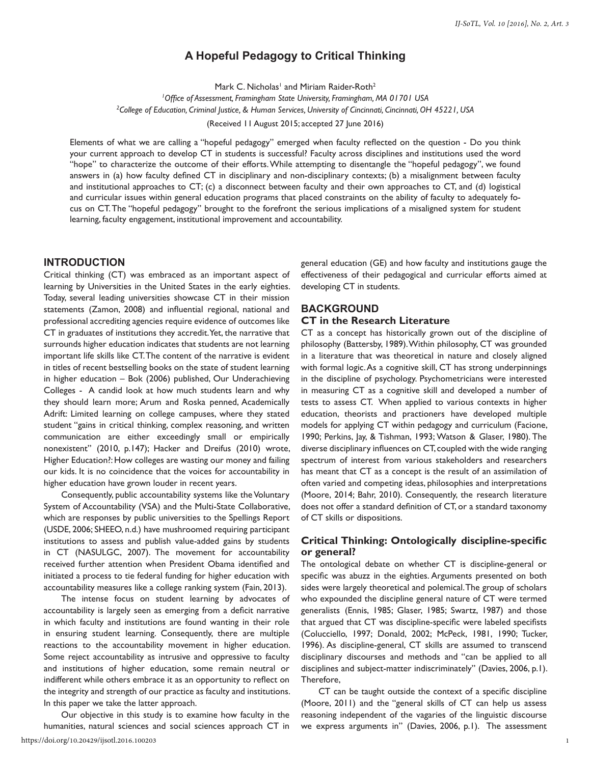# **A Hopeful Pedagogy to Critical Thinking**

Mark C. Nicholas<sup>1</sup> and Miriam Raider-Roth<sup>2</sup>

*1 Office of Assessment, Framingham State University, Framingham, MA 01701 USA 2 College of Education, Criminal Justice, & Human Services, University of Cincinnati, Cincinnati, OH 45221, USA*

(Received 11 August 2015; accepted 27 June 2016)

Elements of what we are calling a "hopeful pedagogy" emerged when faculty reflected on the question - Do you think your current approach to develop CT in students is successful? Faculty across disciplines and institutions used the word "hope" to characterize the outcome of their efforts. While attempting to disentangle the "hopeful pedagogy", we found answers in (a) how faculty defined CT in disciplinary and non-disciplinary contexts; (b) a misalignment between faculty and institutional approaches to CT; (c) a disconnect between faculty and their own approaches to CT, and (d) logistical and curricular issues within general education programs that placed constraints on the ability of faculty to adequately focus on CT. The "hopeful pedagogy" brought to the forefront the serious implications of a misaligned system for student learning, faculty engagement, institutional improvement and accountability.

#### **INTRODUCTION**

Critical thinking (CT) was embraced as an important aspect of learning by Universities in the United States in the early eighties. Today, several leading universities showcase CT in their mission statements (Zamon, 2008) and influential regional, national and professional accrediting agencies require evidence of outcomes like CT in graduates of institutions they accredit. Yet, the narrative that surrounds higher education indicates that students are not learning important life skills like CT. The content of the narrative is evident in titles of recent bestselling books on the state of student learning in higher education – Bok (2006) published, Our Underachieving Colleges - A candid look at how much students learn and why they should learn more; Arum and Roska penned, Academically Adrift: Limited learning on college campuses, where they stated student "gains in critical thinking, complex reasoning, and written communication are either exceedingly small or empirically nonexistent" (2010, p.147); Hacker and Dreifus (2010) wrote, Higher Education?: How colleges are wasting our money and failing our kids. It is no coincidence that the voices for accountability in higher education have grown louder in recent years.

Consequently, public accountability systems like the Voluntary System of Accountability (VSA) and the Multi-State Collaborative, which are responses by public universities to the Spellings Report (USDE, 2006; SHEEO, n.d.) have mushroomed requiring participant institutions to assess and publish value-added gains by students in CT (NASULGC, 2007). The movement for accountability received further attention when President Obama identified and initiated a process to tie federal funding for higher education with accountability measures like a college ranking system (Fain, 2013).

The intense focus on student learning by advocates of accountability is largely seen as emerging from a deficit narrative in which faculty and institutions are found wanting in their role in ensuring student learning. Consequently, there are multiple reactions to the accountability movement in higher education. Some reject accountability as intrusive and oppressive to faculty and institutions of higher education, some remain neutral or indifferent while others embrace it as an opportunity to reflect on the integrity and strength of our practice as faculty and institutions. In this paper we take the latter approach.

Our objective in this study is to examine how faculty in the humanities, natural sciences and social sciences approach CT in https://doi.org/10.20429/ijsotl.2016.100203

general education (GE) and how faculty and institutions gauge the effectiveness of their pedagogical and curricular efforts aimed at developing CT in students.

# **BACKGROUND**

#### **CT in the Research Literature**

CT as a concept has historically grown out of the discipline of philosophy (Battersby, 1989). Within philosophy, CT was grounded in a literature that was theoretical in nature and closely aligned with formal logic. As a cognitive skill, CT has strong underpinnings in the discipline of psychology. Psychometricians were interested in measuring CT as a cognitive skill and developed a number of tests to assess CT. When applied to various contexts in higher education, theorists and practioners have developed multiple models for applying CT within pedagogy and curriculum (Facione, 1990; Perkins, Jay, & Tishman, 1993; Watson & Glaser, 1980). The diverse disciplinary influences on CT, coupled with the wide ranging spectrum of interest from various stakeholders and researchers has meant that CT as a concept is the result of an assimilation of often varied and competing ideas, philosophies and interpretations (Moore, 2014; Bahr, 2010). Consequently, the research literature does not offer a standard definition of CT, or a standard taxonomy of CT skills or dispositions.

#### **Critical Thinking: Ontologically discipline-specific or general?**

The ontological debate on whether CT is discipline-general or specific was abuzz in the eighties. Arguments presented on both sides were largely theoretical and polemical. The group of scholars who expounded the discipline general nature of CT were termed generalists (Ennis, 1985; Glaser, 1985; Swartz, 1987) and those that argued that CT was discipline-specific were labeled specifists (Colucciello, 1997; Donald, 2002; McPeck, 1981, 1990; Tucker, 1996). As discipline-general, CT skills are assumed to transcend disciplinary discourses and methods and "can be applied to all disciplines and subject-matter indiscriminately" (Davies, 2006, p.1). Therefore,

CT can be taught outside the context of a specific discipline (Moore, 2011) and the "general skills of CT can help us assess reasoning independent of the vagaries of the linguistic discourse we express arguments in" (Davies, 2006, p.1). The assessment

1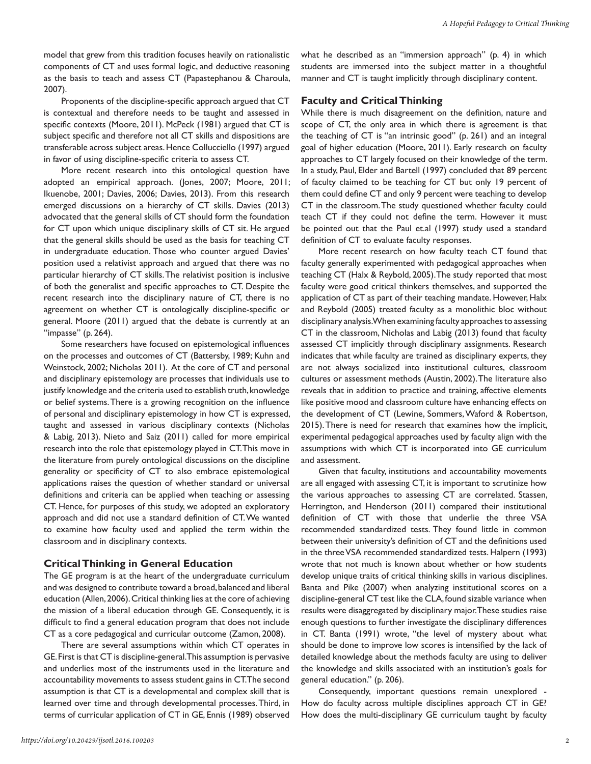model that grew from this tradition focuses heavily on rationalistic components of CT and uses formal logic, and deductive reasoning as the basis to teach and assess CT (Papastephanou & Charoula, 2007).

Proponents of the discipline-specific approach argued that CT is contextual and therefore needs to be taught and assessed in specific contexts (Moore, 2011). McPeck (1981) argued that CT is subject specific and therefore not all CT skills and dispositions are transferable across subject areas. Hence Collucciello (1997) argued in favor of using discipline-specific criteria to assess CT.

More recent research into this ontological question have adopted an empirical approach. (Jones, 2007; Moore, 2011; Ikuenobe, 2001; Davies, 2006; Davies, 2013). From this research emerged discussions on a hierarchy of CT skills. Davies (2013) advocated that the general skills of CT should form the foundation for CT upon which unique disciplinary skills of CT sit. He argued that the general skills should be used as the basis for teaching CT in undergraduate education. Those who counter argued Davies' position used a relativist approach and argued that there was no particular hierarchy of CT skills. The relativist position is inclusive of both the generalist and specific approaches to CT. Despite the recent research into the disciplinary nature of CT, there is no agreement on whether CT is ontologically discipline-specific or general. Moore (2011) argued that the debate is currently at an "impasse" (p. 264).

Some researchers have focused on epistemological influences on the processes and outcomes of CT (Battersby, 1989; Kuhn and Weinstock, 2002; Nicholas 2011). At the core of CT and personal and disciplinary epistemology are processes that individuals use to justify knowledge and the criteria used to establish truth, knowledge or belief systems. There is a growing recognition on the influence of personal and disciplinary epistemology in how CT is expressed, taught and assessed in various disciplinary contexts (Nicholas & Labig, 2013). Nieto and Saiz (2011) called for more empirical research into the role that epistemology played in CT. This move in the literature from purely ontological discussions on the discipline generality or specificity of CT to also embrace epistemological applications raises the question of whether standard or universal definitions and criteria can be applied when teaching or assessing CT. Hence, for purposes of this study, we adopted an exploratory approach and did not use a standard definition of CT. We wanted to examine how faculty used and applied the term within the classroom and in disciplinary contexts.

#### **Critical Thinking in General Education**

The GE program is at the heart of the undergraduate curriculum and was designed to contribute toward a broad, balanced and liberal education (Allen, 2006). Critical thinking lies at the core of achieving the mission of a liberal education through GE. Consequently, it is difficult to find a general education program that does not include CT as a core pedagogical and curricular outcome (Zamon, 2008).

There are several assumptions within which CT operates in GE. First is that CT is discipline-general. This assumption is pervasive and underlies most of the instruments used in the literature and accountability movements to assess student gains in CT. The second assumption is that CT is a developmental and complex skill that is learned over time and through developmental processes. Third, in terms of curricular application of CT in GE, Ennis (1989) observed

what he described as an "immersion approach" (p. 4) in which students are immersed into the subject matter in a thoughtful manner and CT is taught implicitly through disciplinary content.

#### **Faculty and Critical Thinking**

While there is much disagreement on the definition, nature and scope of CT, the only area in which there is agreement is that the teaching of CT is "an intrinsic good" (p. 261) and an integral goal of higher education (Moore, 2011). Early research on faculty approaches to CT largely focused on their knowledge of the term. In a study, Paul, Elder and Bartell (1997) concluded that 89 percent of faculty claimed to be teaching for CT but only 19 percent of them could define CT and only 9 percent were teaching to develop CT in the classroom. The study questioned whether faculty could teach CT if they could not define the term. However it must be pointed out that the Paul et.al (1997) study used a standard definition of CT to evaluate faculty responses.

More recent research on how faculty teach CT found that faculty generally experimented with pedagogical approaches when teaching CT (Halx & Reybold, 2005). The study reported that most faculty were good critical thinkers themselves, and supported the application of CT as part of their teaching mandate. However, Halx and Reybold (2005) treated faculty as a monolithic bloc without disciplinary analysis. When examining faculty approaches to assessing CT in the classroom, Nicholas and Labig (2013) found that faculty assessed CT implicitly through disciplinary assignments. Research indicates that while faculty are trained as disciplinary experts, they are not always socialized into institutional cultures, classroom cultures or assessment methods (Austin, 2002). The literature also reveals that in addition to practice and training, affective elements like positive mood and classroom culture have enhancing effects on the development of CT (Lewine, Sommers, Waford & Robertson, 2015). There is need for research that examines how the implicit, experimental pedagogical approaches used by faculty align with the assumptions with which CT is incorporated into GE curriculum and assessment.

Given that faculty, institutions and accountability movements are all engaged with assessing CT, it is important to scrutinize how the various approaches to assessing CT are correlated. Stassen, Herrington, and Henderson (2011) compared their institutional definition of CT with those that underlie the three VSA recommended standardized tests. They found little in common between their university's definition of CT and the definitions used in the three VSA recommended standardized tests. Halpern (1993) wrote that not much is known about whether or how students develop unique traits of critical thinking skills in various disciplines. Banta and Pike (2007) when analyzing institutional scores on a discipline-general CT test like the CLA, found sizable variance when results were disaggregated by disciplinary major. These studies raise enough questions to further investigate the disciplinary differences in CT. Banta (1991) wrote, "the level of mystery about what should be done to improve low scores is intensified by the lack of detailed knowledge about the methods faculty are using to deliver the knowledge and skills associated with an institution's goals for general education." (p. 206).

Consequently, important questions remain unexplored - How do faculty across multiple disciplines approach CT in GE? How does the multi-disciplinary GE curriculum taught by faculty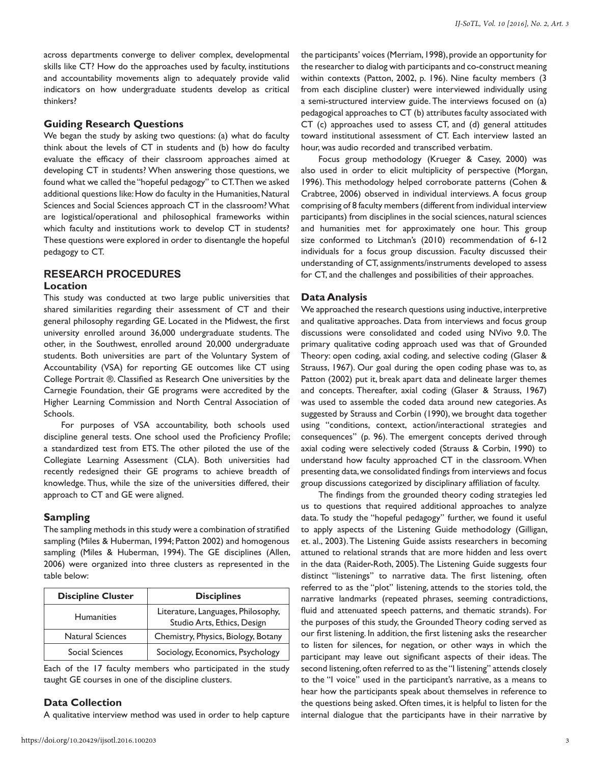across departments converge to deliver complex, developmental skills like CT? How do the approaches used by faculty, institutions and accountability movements align to adequately provide valid indicators on how undergraduate students develop as critical thinkers?

#### **Guiding Research Questions**

We began the study by asking two questions: (a) what do faculty think about the levels of CT in students and (b) how do faculty evaluate the efficacy of their classroom approaches aimed at developing CT in students? When answering those questions, we found what we called the "hopeful pedagogy" to CT. Then we asked additional questions like: How do faculty in the Humanities, Natural Sciences and Social Sciences approach CT in the classroom? What are logistical/operational and philosophical frameworks within which faculty and institutions work to develop CT in students? These questions were explored in order to disentangle the hopeful pedagogy to CT.

#### **RESEARCH PROCEDURES**

#### **Location**

This study was conducted at two large public universities that shared similarities regarding their assessment of CT and their general philosophy regarding GE. Located in the Midwest, the first university enrolled around 36,000 undergraduate students. The other, in the Southwest, enrolled around 20,000 undergraduate students. Both universities are part of the Voluntary System of Accountability (VSA) for reporting GE outcomes like CT using College Portrait ®. Classified as Research One universities by the Carnegie Foundation, their GE programs were accredited by the Higher Learning Commission and North Central Association of Schools.

For purposes of VSA accountability, both schools used discipline general tests. One school used the Proficiency Profile; a standardized test from ETS. The other piloted the use of the Collegiate Learning Assessment (CLA). Both universities had recently redesigned their GE programs to achieve breadth of knowledge. Thus, while the size of the universities differed, their approach to CT and GE were aligned.

#### **Sampling**

The sampling methods in this study were a combination of stratified sampling (Miles & Huberman, 1994; Patton 2002) and homogenous sampling (Miles & Huberman, 1994). The GE disciplines (Allen, 2006) were organized into three clusters as represented in the table below:

| <b>Discipline Cluster</b> | <b>Disciplines</b>                                                |
|---------------------------|-------------------------------------------------------------------|
| <b>Humanities</b>         | Literature, Languages, Philosophy,<br>Studio Arts, Ethics, Design |
| <b>Natural Sciences</b>   | Chemistry, Physics, Biology, Botany                               |
| Social Sciences           | Sociology, Economics, Psychology                                  |

Each of the 17 faculty members who participated in the study taught GE courses in one of the discipline clusters.

#### **Data Collection**

A qualitative interview method was used in order to help capture

the participants' voices (Merriam, 1998), provide an opportunity for the researcher to dialog with participants and co-construct meaning within contexts (Patton, 2002, p. 196). Nine faculty members (3 from each discipline cluster) were interviewed individually using a semi-structured interview guide. The interviews focused on (a) pedagogical approaches to CT (b) attributes faculty associated with CT (c) approaches used to assess CT, and (d) general attitudes toward institutional assessment of CT. Each interview lasted an hour, was audio recorded and transcribed verbatim.

Focus group methodology (Krueger & Casey, 2000) was also used in order to elicit multiplicity of perspective (Morgan, 1996). This methodology helped corroborate patterns (Cohen & Crabtree, 2006) observed in individual interviews. A focus group comprising of 8 faculty members (different from individual interview participants) from disciplines in the social sciences, natural sciences and humanities met for approximately one hour. This group size conformed to Litchman's (2010) recommendation of 6-12 individuals for a focus group discussion. Faculty discussed their understanding of CT, assignments/instruments developed to assess for CT, and the challenges and possibilities of their approaches.

#### **Data Analysis**

We approached the research questions using inductive, interpretive and qualitative approaches. Data from interviews and focus group discussions were consolidated and coded using NVivo 9.0. The primary qualitative coding approach used was that of Grounded Theory: open coding, axial coding, and selective coding (Glaser & Strauss, 1967). Our goal during the open coding phase was to, as Patton (2002) put it, break apart data and delineate larger themes and concepts. Thereafter, axial coding (Glaser & Strauss, 1967) was used to assemble the coded data around new categories. As suggested by Strauss and Corbin (1990), we brought data together using "conditions, context, action/interactional strategies and consequences" (p. 96). The emergent concepts derived through axial coding were selectively coded (Strauss & Corbin, 1990) to understand how faculty approached CT in the classroom. When presenting data, we consolidated findings from interviews and focus group discussions categorized by disciplinary affiliation of faculty.

The findings from the grounded theory coding strategies led us to questions that required additional approaches to analyze data. To study the "hopeful pedagogy" further, we found it useful to apply aspects of the Listening Guide methodology (Gilligan, et. al., 2003). The Listening Guide assists researchers in becoming attuned to relational strands that are more hidden and less overt in the data (Raider-Roth, 2005). The Listening Guide suggests four distinct "listenings" to narrative data. The first listening, often referred to as the "plot" listening, attends to the stories told, the narrative landmarks (repeated phrases, seeming contradictions, fluid and attenuated speech patterns, and thematic strands). For the purposes of this study, the Grounded Theory coding served as our first listening. In addition, the first listening asks the researcher to listen for silences, for negation, or other ways in which the participant may leave out significant aspects of their ideas. The second listening, often referred to as the "I listening" attends closely to the "I voice" used in the participant's narrative, as a means to hear how the participants speak about themselves in reference to the questions being asked. Often times, it is helpful to listen for the internal dialogue that the participants have in their narrative by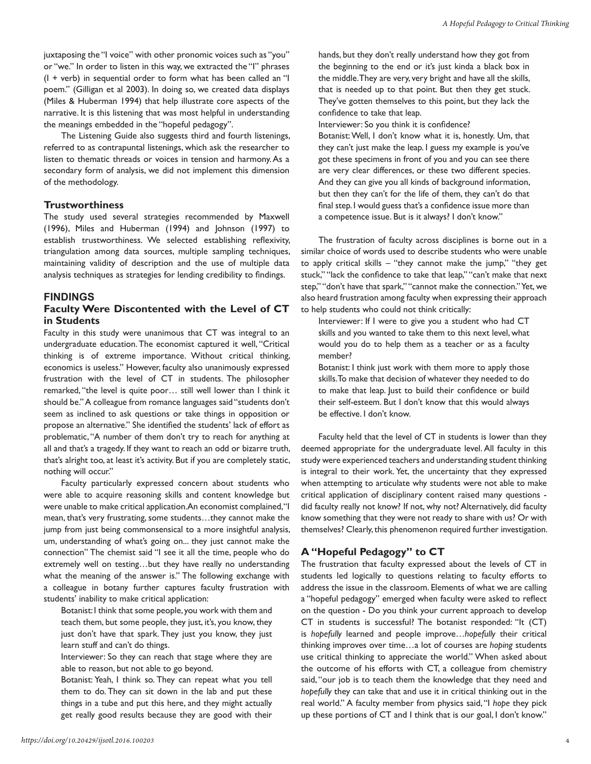juxtaposing the "I voice" with other pronomic voices such as "you" or "we." In order to listen in this way, we extracted the "I" phrases (I + verb) in sequential order to form what has been called an "I poem." (Gilligan et al 2003). In doing so, we created data displays (Miles & Huberman 1994) that help illustrate core aspects of the narrative. It is this listening that was most helpful in understanding the meanings embedded in the "hopeful pedagogy".

The Listening Guide also suggests third and fourth listenings, referred to as contrapuntal listenings, which ask the researcher to listen to thematic threads or voices in tension and harmony. As a secondary form of analysis, we did not implement this dimension of the methodology.

#### **Trustworthiness**

The study used several strategies recommended by Maxwell (1996), Miles and Huberman (1994) and Johnson (1997) to establish trustworthiness. We selected establishing reflexivity, triangulation among data sources, multiple sampling techniques, maintaining validity of description and the use of multiple data analysis techniques as strategies for lending credibility to findings.

#### **FINDINGS**

#### **Faculty Were Discontented with the Level of CT in Students**

Faculty in this study were unanimous that CT was integral to an undergraduate education. The economist captured it well, "Critical thinking is of extreme importance. Without critical thinking, economics is useless." However, faculty also unanimously expressed frustration with the level of CT in students. The philosopher remarked, "the level is quite poor… still well lower than I think it should be." A colleague from romance languages said "students don't seem as inclined to ask questions or take things in opposition or propose an alternative." She identified the students' lack of effort as problematic, "A number of them don't try to reach for anything at all and that's a tragedy. If they want to reach an odd or bizarre truth, that's alright too, at least it's activity. But if you are completely static, nothing will occur."

Faculty particularly expressed concern about students who were able to acquire reasoning skills and content knowledge but were unable to make critical application. An economist complained, "I mean, that's very frustrating, some students…they cannot make the jump from just being commonsensical to a more insightful analysis, um, understanding of what's going on... they just cannot make the connection" The chemist said "I see it all the time, people who do extremely well on testing…but they have really no understanding what the meaning of the answer is." The following exchange with a colleague in botany further captures faculty frustration with students' inability to make critical application:

Botanist: I think that some people, you work with them and teach them, but some people, they just, it's, you know, they just don't have that spark. They just you know, they just learn stuff and can't do things.

Interviewer: So they can reach that stage where they are able to reason, but not able to go beyond.

Botanist: Yeah, I think so. They can repeat what you tell them to do. They can sit down in the lab and put these things in a tube and put this here, and they might actually get really good results because they are good with their hands, but they don't really understand how they got from the beginning to the end or it's just kinda a black box in the middle. They are very, very bright and have all the skills, that is needed up to that point. But then they get stuck. They've gotten themselves to this point, but they lack the confidence to take that leap.

Interviewer: So you think it is confidence?

Botanist: Well, I don't know what it is, honestly. Um, that they can't just make the leap. I guess my example is you've got these specimens in front of you and you can see there are very clear differences, or these two different species. And they can give you all kinds of background information, but then they can't for the life of them, they can't do that final step. I would guess that's a confidence issue more than a competence issue. But is it always? I don't know."

The frustration of faculty across disciplines is borne out in a similar choice of words used to describe students who were unable to apply critical skills – "they cannot make the jump," "they get stuck," "lack the confidence to take that leap," "can't make that next step," "don't have that spark," "cannot make the connection." Yet, we also heard frustration among faculty when expressing their approach to help students who could not think critically:

Interviewer: If I were to give you a student who had CT skills and you wanted to take them to this next level, what would you do to help them as a teacher or as a faculty member?

Botanist: I think just work with them more to apply those skills. To make that decision of whatever they needed to do to make that leap. Just to build their confidence or build their self-esteem. But I don't know that this would always be effective. I don't know.

Faculty held that the level of CT in students is lower than they deemed appropriate for the undergraduate level. All faculty in this study were experienced teachers and understanding student thinking is integral to their work. Yet, the uncertainty that they expressed when attempting to articulate why students were not able to make critical application of disciplinary content raised many questions did faculty really not know? If not, why not? Alternatively, did faculty know something that they were not ready to share with us? Or with themselves? Clearly, this phenomenon required further investigation.

# **A "Hopeful Pedagogy" to CT**

The frustration that faculty expressed about the levels of CT in students led logically to questions relating to faculty efforts to address the issue in the classroom. Elements of what we are calling a "hopeful pedagogy" emerged when faculty were asked to reflect on the question - Do you think your current approach to develop CT in students is successful? The botanist responded: "It (CT) is *hopefully* learned and people improve…*hopefully* their critical thinking improves over time…a lot of courses are *hoping* students use critical thinking to appreciate the world." When asked about the outcome of his efforts with CT, a colleague from chemistry said, "our job is to teach them the knowledge that they need and *hopefully* they can take that and use it in critical thinking out in the real world." A faculty member from physics said, "I *hope* they pick up these portions of CT and I think that is our goal, I don't know."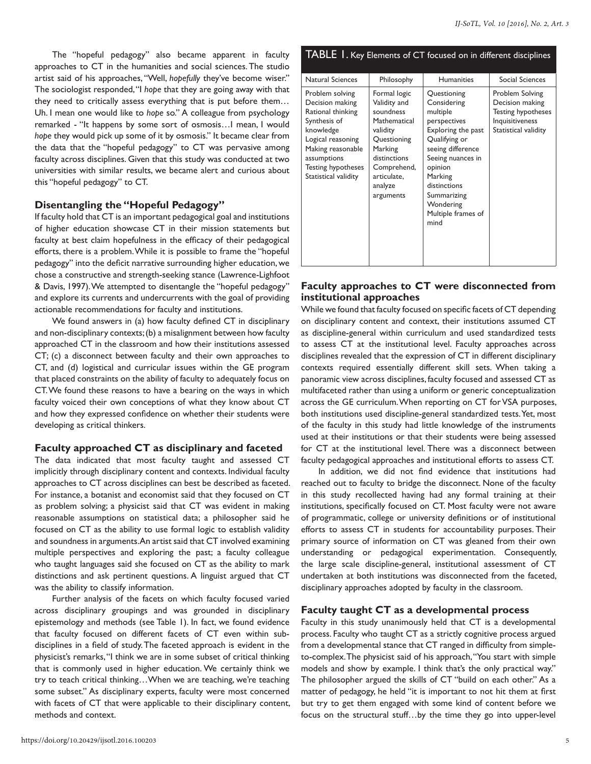The "hopeful pedagogy" also became apparent in faculty approaches to CT in the humanities and social sciences. The studio artist said of his approaches, "Well, *hopefully* they've become wiser." The sociologist responded, "I *hope* that they are going away with that they need to critically assess everything that is put before them… Uh. I mean one would like to *hope* so." A colleague from psychology remarked - "It happens by some sort of osmosis…I mean, I would *hope* they would pick up some of it by osmosis." It became clear from the data that the "hopeful pedagogy" to CT was pervasive among faculty across disciplines. Given that this study was conducted at two universities with similar results, we became alert and curious about this "hopeful pedagogy" to CT.

# **Disentangling the "Hopeful Pedagogy"**

If faculty hold that CT is an important pedagogical goal and institutions of higher education showcase CT in their mission statements but faculty at best claim hopefulness in the efficacy of their pedagogical efforts, there is a problem. While it is possible to frame the "hopeful pedagogy" into the deficit narrative surrounding higher education, we chose a constructive and strength-seeking stance (Lawrence-Lighfoot & Davis, 1997). We attempted to disentangle the "hopeful pedagogy" and explore its currents and undercurrents with the goal of providing actionable recommendations for faculty and institutions.

We found answers in (a) how faculty defined CT in disciplinary and non-disciplinary contexts; (b) a misalignment between how faculty approached CT in the classroom and how their institutions assessed CT; (c) a disconnect between faculty and their own approaches to CT, and (d) logistical and curricular issues within the GE program that placed constraints on the ability of faculty to adequately focus on CT. We found these reasons to have a bearing on the ways in which faculty voiced their own conceptions of what they know about CT and how they expressed confidence on whether their students were developing as critical thinkers.

# **Faculty approached CT as disciplinary and faceted**

The data indicated that most faculty taught and assessed CT implicitly through disciplinary content and contexts. Individual faculty approaches to CT across disciplines can best be described as faceted. For instance, a botanist and economist said that they focused on CT as problem solving; a physicist said that CT was evident in making reasonable assumptions on statistical data; a philosopher said he focused on CT as the ability to use formal logic to establish validity and soundness in arguments. An artist said that CT involved examining multiple perspectives and exploring the past; a faculty colleague who taught languages said she focused on CT as the ability to mark distinctions and ask pertinent questions. A linguist argued that CT was the ability to classify information.

Further analysis of the facets on which faculty focused varied across disciplinary groupings and was grounded in disciplinary epistemology and methods (see Table 1). In fact, we found evidence that faculty focused on different facets of CT even within subdisciplines in a field of study. The faceted approach is evident in the physicist's remarks, "I think we are in some subset of critical thinking that is commonly used in higher education. We certainly think we try to teach critical thinking…When we are teaching, we're teaching some subset." As disciplinary experts, faculty were most concerned with facets of CT that were applicable to their disciplinary content, methods and context.

| <b>TABLE</b> 1. Key Elements of CT focused on in different disciplines                                                                                                                             |                                                                                                                                                                       |                                                                                                                                                                                                                                         |                                                                                                            |  |  |
|----------------------------------------------------------------------------------------------------------------------------------------------------------------------------------------------------|-----------------------------------------------------------------------------------------------------------------------------------------------------------------------|-----------------------------------------------------------------------------------------------------------------------------------------------------------------------------------------------------------------------------------------|------------------------------------------------------------------------------------------------------------|--|--|
| <b>Natural Sciences</b>                                                                                                                                                                            | Philosophy                                                                                                                                                            | <b>Humanities</b>                                                                                                                                                                                                                       | Social Sciences                                                                                            |  |  |
| Problem solving<br>Decision making<br>Rational thinking<br>Synthesis of<br>knowledge<br>Logical reasoning<br>Making reasonable<br>assumptions<br><b>Testing hypotheses</b><br>Statistical validity | Formal logic<br>Validity and<br>soundness<br>Mathematical<br>validity<br>Questioning<br>Marking<br>distinctions<br>Comprehend,<br>articulate,<br>analyze<br>arguments | Questioning<br>Considering<br>multiple<br>perspectives<br>Exploring the past<br>Qualifying or<br>seeing difference<br>Seeing nuances in<br>opinion<br>Marking<br>distinctions<br>Summarizing<br>Wondering<br>Multiple frames of<br>mind | Problem Solving<br>Decision making<br><b>Testing hypotheses</b><br>Inquisitiveness<br>Statistical validity |  |  |

# **Faculty approaches to CT were disconnected from institutional approaches**

While we found that faculty focused on specific facets of CT depending on disciplinary content and context, their institutions assumed CT as discipline-general within curriculum and used standardized tests to assess CT at the institutional level. Faculty approaches across disciplines revealed that the expression of CT in different disciplinary contexts required essentially different skill sets. When taking a panoramic view across disciplines, faculty focused and assessed CT as multifaceted rather than using a uniform or generic conceptualization across the GE curriculum. When reporting on CT for VSA purposes, both institutions used discipline-general standardized tests. Yet, most of the faculty in this study had little knowledge of the instruments used at their institutions or that their students were being assessed for CT at the institutional level. There was a disconnect between faculty pedagogical approaches and institutional efforts to assess CT.

In addition, we did not find evidence that institutions had reached out to faculty to bridge the disconnect. None of the faculty in this study recollected having had any formal training at their institutions, specifically focused on CT. Most faculty were not aware of programmatic, college or university definitions or of institutional efforts to assess CT in students for accountability purposes. Their primary source of information on CT was gleaned from their own understanding or pedagogical experimentation. Consequently, the large scale discipline-general, institutional assessment of CT undertaken at both institutions was disconnected from the faceted, disciplinary approaches adopted by faculty in the classroom.

# **Faculty taught CT as a developmental process**

Faculty in this study unanimously held that CT is a developmental process. Faculty who taught CT as a strictly cognitive process argued from a developmental stance that CT ranged in difficulty from simpleto-complex. The physicist said of his approach, "You start with simple models and show by example. I think that's the only practical way." The philosopher argued the skills of CT "build on each other." As a matter of pedagogy, he held "it is important to not hit them at first but try to get them engaged with some kind of content before we focus on the structural stuff…by the time they go into upper-level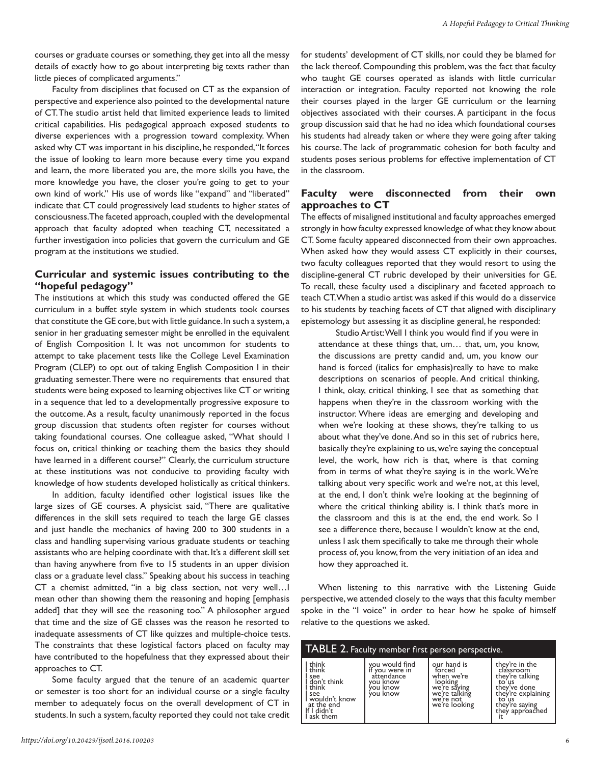courses or graduate courses or something, they get into all the messy details of exactly how to go about interpreting big texts rather than little pieces of complicated arguments."

Faculty from disciplines that focused on CT as the expansion of perspective and experience also pointed to the developmental nature of CT. The studio artist held that limited experience leads to limited critical capabilities. His pedagogical approach exposed students to diverse experiences with a progression toward complexity. When asked why CT was important in his discipline, he responded, "It forces the issue of looking to learn more because every time you expand and learn, the more liberated you are, the more skills you have, the more knowledge you have, the closer you're going to get to your own kind of work." His use of words like "expand" and "liberated" indicate that CT could progressively lead students to higher states of consciousness. The faceted approach, coupled with the developmental approach that faculty adopted when teaching CT, necessitated a further investigation into policies that govern the curriculum and GE program at the institutions we studied.

## **Curricular and systemic issues contributing to the "hopeful pedagogy"**

The institutions at which this study was conducted offered the GE curriculum in a buffet style system in which students took courses that constitute the GE core, but with little guidance. In such a system, a senior in her graduating semester might be enrolled in the equivalent of English Composition I. It was not uncommon for students to attempt to take placement tests like the College Level Examination Program (CLEP) to opt out of taking English Composition I in their graduating semester. There were no requirements that ensured that students were being exposed to learning objectives like CT or writing in a sequence that led to a developmentally progressive exposure to the outcome. As a result, faculty unanimously reported in the focus group discussion that students often register for courses without taking foundational courses. One colleague asked, "What should I focus on, critical thinking or teaching them the basics they should have learned in a different course?" Clearly, the curriculum structure at these institutions was not conducive to providing faculty with knowledge of how students developed holistically as critical thinkers.

In addition, faculty identified other logistical issues like the large sizes of GE courses. A physicist said, "There are qualitative differences in the skill sets required to teach the large GE classes and just handle the mechanics of having 200 to 300 students in a class and handling supervising various graduate students or teaching assistants who are helping coordinate with that. It's a different skill set than having anywhere from five to 15 students in an upper division class or a graduate level class." Speaking about his success in teaching CT a chemist admitted, "in a big class section, not very well…I mean other than showing them the reasoning and hoping [emphasis added] that they will see the reasoning too." A philosopher argued that time and the size of GE classes was the reason he resorted to inadequate assessments of CT like quizzes and multiple-choice tests. The constraints that these logistical factors placed on faculty may have contributed to the hopefulness that they expressed about their approaches to CT.

Some faculty argued that the tenure of an academic quarter or semester is too short for an individual course or a single faculty member to adequately focus on the overall development of CT in students. In such a system, faculty reported they could not take credit

their courses played in the larger GE curriculum or the learning objectives associated with their courses. A participant in the focus group discussion said that he had no idea which foundational courses his students had already taken or where they were going after taking his course. The lack of programmatic cohesion for both faculty and students poses serious problems for effective implementation of CT in the classroom. **Faculty were disconnected from their own approaches to CT**

The effects of misaligned institutional and faculty approaches emerged strongly in how faculty expressed knowledge of what they know about CT. Some faculty appeared disconnected from their own approaches. When asked how they would assess CT explicitly in their courses, two faculty colleagues reported that they would resort to using the discipline-general CT rubric developed by their universities for GE. To recall, these faculty used a disciplinary and faceted approach to teach CT. When a studio artist was asked if this would do a disservice to his students by teaching facets of CT that aligned with disciplinary epistemology but assessing it as discipline general, he responded:

for students' development of CT skills, nor could they be blamed for the lack thereof. Compounding this problem, was the fact that faculty who taught GE courses operated as islands with little curricular interaction or integration. Faculty reported not knowing the role

Studio Artist: Well I think you would find if you were in attendance at these things that, um… that, um, you know, the discussions are pretty candid and, um, you know our hand is forced (italics for emphasis)really to have to make descriptions on scenarios of people. And critical thinking, I think, okay, critical thinking, I see that as something that happens when they're in the classroom working with the instructor. Where ideas are emerging and developing and when we're looking at these shows, they're talking to us about what they've done. And so in this set of rubrics here, basically they're explaining to us, we're saying the conceptual level, the work, how rich is that, where is that coming from in terms of what they're saying is in the work. We're talking about very specific work and we're not, at this level, at the end, I don't think we're looking at the beginning of where the critical thinking ability is. I think that's more in the classroom and this is at the end, the end work. So I see a difference there, because I wouldn't know at the end, unless I ask them specifically to take me through their whole process of, you know, from the very initiation of an idea and how they approached it.

When listening to this narrative with the Listening Guide perspective, we attended closely to the ways that this faculty member spoke in the "I voice" in order to hear how he spoke of himself relative to the questions we asked.

| TABLE 2. Faculty member first person perspective.                                                                    |                                                                                    |                                                                                                               |                                                                                                                                             |  |  |  |
|----------------------------------------------------------------------------------------------------------------------|------------------------------------------------------------------------------------|---------------------------------------------------------------------------------------------------------------|---------------------------------------------------------------------------------------------------------------------------------------------|--|--|--|
| I think<br>think<br>see<br>don't think<br>think<br>see<br>I wouldn't know<br>at the end<br>If I didn't<br>l ask them | you would find<br>if you were in<br>attendance<br>vou know<br>vou know<br>vou know | our hand is<br>forced<br>when we're<br>looking<br>we're saying<br>we're talking<br>we're not<br>we're looking | they're in the<br>classroom<br>they're talking<br>to us<br>they've done<br>they're explaining<br>to us<br>they're saying<br>they approached |  |  |  |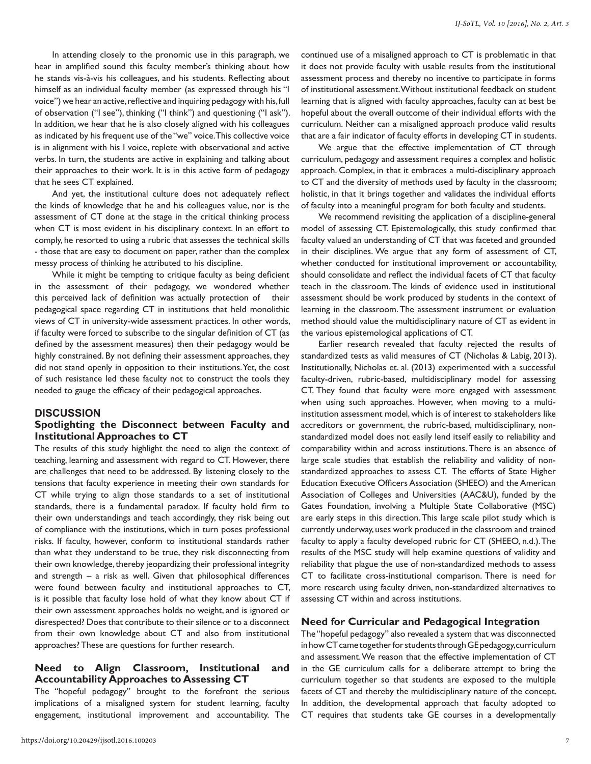In attending closely to the pronomic use in this paragraph, we hear in amplified sound this faculty member's thinking about how he stands vis-à-vis his colleagues, and his students. Reflecting about himself as an individual faculty member (as expressed through his "I voice") we hear an active, reflective and inquiring pedagogy with his, full of observation ("I see"), thinking ("I think") and questioning ("I ask"). In addition, we hear that he is also closely aligned with his colleagues as indicated by his frequent use of the "we" voice. This collective voice is in alignment with his I voice, replete with observational and active verbs. In turn, the students are active in explaining and talking about their approaches to their work. It is in this active form of pedagogy that he sees CT explained.

And yet, the institutional culture does not adequately reflect the kinds of knowledge that he and his colleagues value, nor is the assessment of CT done at the stage in the critical thinking process when CT is most evident in his disciplinary context. In an effort to comply, he resorted to using a rubric that assesses the technical skills - those that are easy to document on paper, rather than the complex messy process of thinking he attributed to his discipline.

While it might be tempting to critique faculty as being deficient in the assessment of their pedagogy, we wondered whether this perceived lack of definition was actually protection of their pedagogical space regarding CT in institutions that held monolithic views of CT in university-wide assessment practices. In other words, if faculty were forced to subscribe to the singular definition of CT (as defined by the assessment measures) then their pedagogy would be highly constrained. By not defining their assessment approaches, they did not stand openly in opposition to their institutions. Yet, the cost of such resistance led these faculty not to construct the tools they needed to gauge the efficacy of their pedagogical approaches.

#### **DISCUSSION**

#### **Spotlighting the Disconnect between Faculty and Institutional Approaches to CT**

The results of this study highlight the need to align the context of teaching, learning and assessment with regard to CT. However, there are challenges that need to be addressed. By listening closely to the tensions that faculty experience in meeting their own standards for CT while trying to align those standards to a set of institutional standards, there is a fundamental paradox. If faculty hold firm to their own understandings and teach accordingly, they risk being out of compliance with the institutions, which in turn poses professional risks. If faculty, however, conform to institutional standards rather than what they understand to be true, they risk disconnecting from their own knowledge, thereby jeopardizing their professional integrity and strength – a risk as well. Given that philosophical differences were found between faculty and institutional approaches to CT, is it possible that faculty lose hold of what they know about CT if their own assessment approaches holds no weight, and is ignored or disrespected? Does that contribute to their silence or to a disconnect from their own knowledge about CT and also from institutional approaches? These are questions for further research.

#### **Need to Align Classroom, Institutional and Accountability Approaches to Assessing CT**

The "hopeful pedagogy" brought to the forefront the serious implications of a misaligned system for student learning, faculty engagement, institutional improvement and accountability. The continued use of a misaligned approach to CT is problematic in that it does not provide faculty with usable results from the institutional assessment process and thereby no incentive to participate in forms of institutional assessment. Without institutional feedback on student learning that is aligned with faculty approaches, faculty can at best be hopeful about the overall outcome of their individual efforts with the curriculum. Neither can a misaligned approach produce valid results that are a fair indicator of faculty efforts in developing CT in students.

We argue that the effective implementation of CT through curriculum, pedagogy and assessment requires a complex and holistic approach. Complex, in that it embraces a multi-disciplinary approach to CT and the diversity of methods used by faculty in the classroom; holistic, in that it brings together and validates the individual efforts of faculty into a meaningful program for both faculty and students.

We recommend revisiting the application of a discipline-general model of assessing CT. Epistemologically, this study confirmed that faculty valued an understanding of CT that was faceted and grounded in their disciplines. We argue that any form of assessment of CT, whether conducted for institutional improvement or accountability, should consolidate and reflect the individual facets of CT that faculty teach in the classroom. The kinds of evidence used in institutional assessment should be work produced by students in the context of learning in the classroom. The assessment instrument or evaluation method should value the multidisciplinary nature of CT as evident in the various epistemological applications of CT.

Earlier research revealed that faculty rejected the results of standardized tests as valid measures of CT (Nicholas & Labig, 2013). Institutionally, Nicholas et. al. (2013) experimented with a successful faculty-driven, rubric-based, multidisciplinary model for assessing CT. They found that faculty were more engaged with assessment when using such approaches. However, when moving to a multiinstitution assessment model, which is of interest to stakeholders like accreditors or government, the rubric-based, multidisciplinary, nonstandardized model does not easily lend itself easily to reliability and comparability within and across institutions. There is an absence of large scale studies that establish the reliability and validity of nonstandardized approaches to assess CT. The efforts of State Higher Education Executive Officers Association (SHEEO) and the American Association of Colleges and Universities (AAC&U), funded by the Gates Foundation, involving a Multiple State Collaborative (MSC) are early steps in this direction. This large scale pilot study which is currently underway, uses work produced in the classroom and trained faculty to apply a faculty developed rubric for CT (SHEEO, n.d.). The results of the MSC study will help examine questions of validity and reliability that plague the use of non-standardized methods to assess CT to facilitate cross-institutional comparison. There is need for more research using faculty driven, non-standardized alternatives to assessing CT within and across institutions.

## **Need for Curricular and Pedagogical Integration**

The "hopeful pedagogy" also revealed a system that was disconnected in how CT came together for students through GE pedagogy, curriculum and assessment. We reason that the effective implementation of CT in the GE curriculum calls for a deliberate attempt to bring the curriculum together so that students are exposed to the multiple facets of CT and thereby the multidisciplinary nature of the concept. In addition, the developmental approach that faculty adopted to CT requires that students take GE courses in a developmentally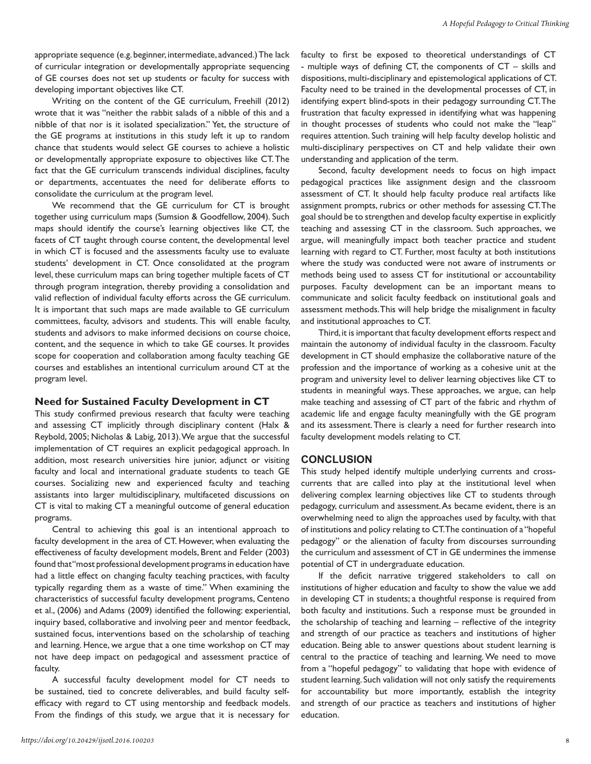appropriate sequence (e.g. beginner, intermediate, advanced.) The lack of curricular integration or developmentally appropriate sequencing of GE courses does not set up students or faculty for success with developing important objectives like CT.

Writing on the content of the GE curriculum, Freehill (2012) wrote that it was "neither the rabbit salads of a nibble of this and a nibble of that nor is it isolated specialization." Yet, the structure of the GE programs at institutions in this study left it up to random chance that students would select GE courses to achieve a holistic or developmentally appropriate exposure to objectives like CT. The fact that the GE curriculum transcends individual disciplines, faculty or departments, accentuates the need for deliberate efforts to consolidate the curriculum at the program level.

We recommend that the GE curriculum for CT is brought together using curriculum maps (Sumsion & Goodfellow, 2004). Such maps should identify the course's learning objectives like CT, the facets of CT taught through course content, the developmental level in which CT is focused and the assessments faculty use to evaluate students' development in CT. Once consolidated at the program level, these curriculum maps can bring together multiple facets of CT through program integration, thereby providing a consolidation and valid reflection of individual faculty efforts across the GE curriculum. It is important that such maps are made available to GE curriculum committees, faculty, advisors and students. This will enable faculty, students and advisors to make informed decisions on course choice, content, and the sequence in which to take GE courses. It provides scope for cooperation and collaboration among faculty teaching GE courses and establishes an intentional curriculum around CT at the program level.

#### **Need for Sustained Faculty Development in CT**

This study confirmed previous research that faculty were teaching and assessing CT implicitly through disciplinary content (Halx & Reybold, 2005; Nicholas & Labig, 2013). We argue that the successful implementation of CT requires an explicit pedagogical approach. In addition, most research universities hire junior, adjunct or visiting faculty and local and international graduate students to teach GE courses. Socializing new and experienced faculty and teaching assistants into larger multidisciplinary, multifaceted discussions on CT is vital to making CT a meaningful outcome of general education programs.

Central to achieving this goal is an intentional approach to faculty development in the area of CT. However, when evaluating the effectiveness of faculty development models, Brent and Felder (2003) found that "most professional development programs in education have had a little effect on changing faculty teaching practices, with faculty typically regarding them as a waste of time." When examining the characteristics of successful faculty development programs, Centeno et al., (2006) and Adams (2009) identified the following: experiential, inquiry based, collaborative and involving peer and mentor feedback, sustained focus, interventions based on the scholarship of teaching and learning. Hence, we argue that a one time workshop on CT may not have deep impact on pedagogical and assessment practice of faculty.

A successful faculty development model for CT needs to be sustained, tied to concrete deliverables, and build faculty selfefficacy with regard to CT using mentorship and feedback models. From the findings of this study, we argue that it is necessary for

faculty to first be exposed to theoretical understandings of CT - multiple ways of defining CT, the components of CT – skills and dispositions, multi-disciplinary and epistemological applications of CT. Faculty need to be trained in the developmental processes of CT, in identifying expert blind-spots in their pedagogy surrounding CT. The frustration that faculty expressed in identifying what was happening in thought processes of students who could not make the "leap" requires attention. Such training will help faculty develop holistic and multi-disciplinary perspectives on CT and help validate their own understanding and application of the term.

Second, faculty development needs to focus on high impact pedagogical practices like assignment design and the classroom assessment of CT. It should help faculty produce real artifacts like assignment prompts, rubrics or other methods for assessing CT. The goal should be to strengthen and develop faculty expertise in explicitly teaching and assessing CT in the classroom. Such approaches, we argue, will meaningfully impact both teacher practice and student learning with regard to CT. Further, most faculty at both institutions where the study was conducted were not aware of instruments or methods being used to assess CT for institutional or accountability purposes. Faculty development can be an important means to communicate and solicit faculty feedback on institutional goals and assessment methods. This will help bridge the misalignment in faculty and institutional approaches to CT.

Third, it is important that faculty development efforts respect and maintain the autonomy of individual faculty in the classroom. Faculty development in CT should emphasize the collaborative nature of the profession and the importance of working as a cohesive unit at the program and university level to deliver learning objectives like CT to students in meaningful ways. These approaches, we argue, can help make teaching and assessing of CT part of the fabric and rhythm of academic life and engage faculty meaningfully with the GE program and its assessment. There is clearly a need for further research into faculty development models relating to CT.

#### **CONCLUSION**

This study helped identify multiple underlying currents and crosscurrents that are called into play at the institutional level when delivering complex learning objectives like CT to students through pedagogy, curriculum and assessment. As became evident, there is an overwhelming need to align the approaches used by faculty, with that of institutions and policy relating to CT. The continuation of a "hopeful pedagogy" or the alienation of faculty from discourses surrounding the curriculum and assessment of CT in GE undermines the immense potential of CT in undergraduate education.

If the deficit narrative triggered stakeholders to call on institutions of higher education and faculty to show the value we add in developing CT in students; a thoughtful response is required from both faculty and institutions. Such a response must be grounded in the scholarship of teaching and learning – reflective of the integrity and strength of our practice as teachers and institutions of higher education. Being able to answer questions about student learning is central to the practice of teaching and learning. We need to move from a "hopeful pedagogy" to validating that hope with evidence of student learning. Such validation will not only satisfy the requirements for accountability but more importantly, establish the integrity and strength of our practice as teachers and institutions of higher education.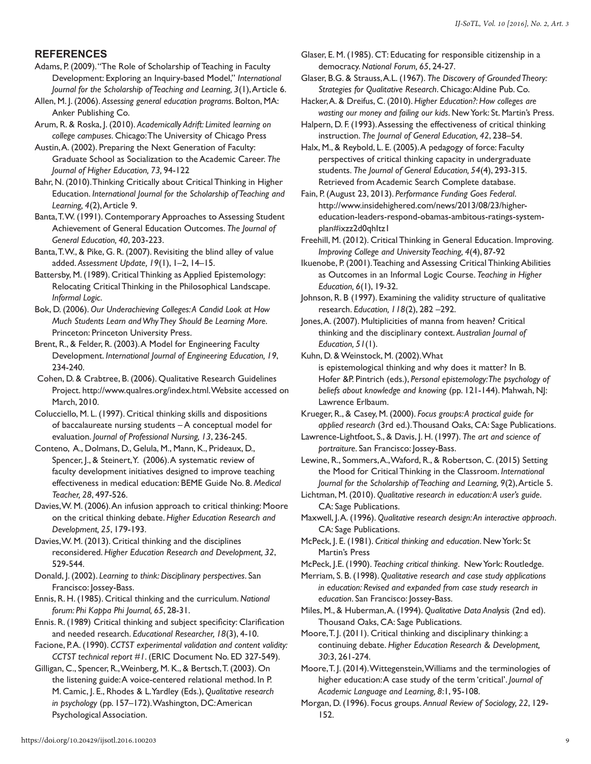# **REFERENCES**

Adams, P. (2009). "The Role of Scholarship of Teaching in Faculty Development: Exploring an Inquiry-based Model," *International Journal for the Scholarship of Teaching and Learning, 3*(1), Article 6.

Allen, M. J. (2006). *Assessing general education programs*. Bolton, MA: Anker Publishing Co.

Arum, R. & Roska, J. (2010). *Academically Adrift: Limited learning on college campuses*. Chicago: The University of Chicago Press

Austin, A. (2002). Preparing the Next Generation of Faculty: Graduate School as Socialization to the Academic Career. *The Journal of Higher Education, 73,* 94-122

Bahr, N. (2010). Thinking Critically about Critical Thinking in Higher Education. *International Journal for the Scholarship of Teaching and Learning, 4*(2), Article 9.

Banta, T. W. (1991). Contemporary Approaches to Assessing Student Achievement of General Education Outcomes. *The Journal of General Education, 40*, 203-223.

Banta, T. W., & Pike, G. R. (2007). Revisiting the blind alley of value added. *Assessment Update, 19*(1), 1–2, 14–15.

Battersby, M. (1989). Critical Thinking as Applied Epistemology: Relocating Critical Thinking in the Philosophical Landscape. *Informal Logic*.

Bok, D. (2006). *Our Underachieving Colleges: A Candid Look at How Much Students Learn and Why They Should Be Learning More*. Princeton: Princeton University Press.

Brent, R., & Felder, R. (2003). A Model for Engineering Faculty Development. *International Journal of Engineering Education, 19*, 234-240.

 Cohen, D. & Crabtree, B. (2006). Qualitative Research Guidelines Project. http://www.qualres.org/index.html. Website accessed on March, 2010.

Colucciello, M. L. (1997). Critical thinking skills and dispositions of baccalaureate nursing students – A conceptual model for evaluation. *Journal of Professional Nursing, 13*, 236-245.

Conteno, A., Dolmans, D., Gelula, M., Mann, K., Prideaux, D., Spencer, J., & Steinert, Y. (2006). A systematic review of faculty development initiatives designed to improve teaching effectiveness in medical education: BEME Guide No. 8. *Medical Teacher, 28*, 497-526.

Davies, W. M. (2006). An infusion approach to critical thinking: Moore on the critical thinking debate. *Higher Education Research and Development, 25*, 179-193.

Davies, W. M. (2013). Critical thinking and the disciplines reconsidered. *Higher Education Research and Development, 32*, 529-544.

Donald, J. (2002). *Learning to think: Disciplinary perspectives*. San Francisco: Jossey-Bass.

Ennis, R. H. (1985). Critical thinking and the curriculum. *National forum: Phi Kappa Phi Journal, 65*, 28-31.

Ennis. R. (1989) Critical thinking and subject specificity: Clarification and needed research. *Educational Researcher, 18*(3), 4-10.

Facione, P.A. (1990). *CCTST experimental validation and content validity*: *CCTST technical report #1*. (ERIC Document No. ED 327-549).

Gilligan, C., Spencer, R., Weinberg, M. K., & Bertsch, T. (2003). On the listening guide: A voice-centered relational method. In P. M. Camic, J. E., Rhodes & L. Yardley (Eds.), *Qualitative research in psychology* (pp. 157–172). Washington, DC: American Psychological Association.

Glaser, E. M. (1985). CT: Educating for responsible citizenship in a democracy. *National Forum, 65*, 24-27.

Glaser, B.G. & Strauss, A.L. (1967). *The Discovery of Grounded Theory: Strategies for Qualitative Research*. Chicago: Aldine Pub. Co.

Hacker, A. & Dreifus, C. (2010). *Higher Education?: How colleges are wasting our money and failing our kids*. New York: St. Martin's Press.

Halpern, D. F. (1993). Assessing the effectiveness of critical thinking instruction. *The Journal of General Education, 42*, 238–54.

Halx, M., & Reybold, L. E. (2005). A pedagogy of force: Faculty perspectives of critical thinking capacity in undergraduate students. *The Journal of General Education, 54*(4), 293-315. Retrieved from Academic Search Complete database.

Fain, P. (August 23, 2013). *Performance Funding Goes Federal*. http://www.insidehighered.com/news/2013/08/23/highereducation-leaders-respond-obamas-ambitous-ratings-systemplan#ixzz2d0qhItz1

Freehill, M. (2012). Critical Thinking in General Education. Improving. *Improving College and University Teaching, 4*(4), 87-92

Ikuenobe, P. (2001). Teaching and Assessing Critical Thinking Abilities as Outcomes in an Informal Logic Course. *Teaching in Higher Education, 6*(1), 19-32.

Johnson, R. B (1997). Examining the validity structure of qualitative research. *Education, 118*(2), 282 –292.

Jones, A. (2007). Multiplicities of manna from heaven? Critical thinking and the disciplinary context. *Australian Journal of Education, 51*(1).

Kuhn, D. & Weinstock, M. (2002). What

is epistemological thinking and why does it matter? In B. Hofer &P. Pintrich (eds.), *Personal epistemology: The psychology of beliefs about knowledge and knowing* (pp. 121-144). Mahwah, NJ: Lawrence Erlbaum.

Krueger, R., & Casey, M. (2000). *Focus groups: A practical guide for applied research* (3rd ed.). Thousand Oaks, CA: Sage Publications.

Lawrence-Lightfoot, S., & Davis, J. H. (1997). *The art and science of portraiture*. San Francisco: Jossey-Bass.

Lewine, R., Sommers, A., Waford, R., & Robertson, C. (2015) Setting the Mood for Critical Thinking in the Classroom. *International Journal for the Scholarship of Teaching and Learning, 9*(2), Article 5.

Lichtman, M. (2010). *Qualitative research in education: A user's guide*. CA: Sage Publications.

Maxwell, J. A. (1996). *Qualitative research design: An interactive approach*. CA: Sage Publications.

McPeck, J. E. (1981). *Critical thinking and education*. New York: St Martin's Press

McPeck, J.E. (1990). *Teaching critical thinking*. New York: Routledge.

Merriam, S. B. (1998). *Qualitative research and case study applications in education: Revised and expanded from case study research in education*. San Francisco: Jossey-Bass.

Miles, M., & Huberman, A. (1994). *Qualitative Data Analysis* (2nd ed). Thousand Oaks, CA: Sage Publications.

Moore, T. J. (2011). Critical thinking and disciplinary thinking: a continuing debate. *Higher Education Research & Development, 30*:3, 261-274.

Moore, T. J. (2014). Wittegenstein, Williams and the terminologies of higher education: A case study of the term 'critical'. *Journal of Academic Language and Learning, 8*:1, 95-108.

Morgan, D. (1996). Focus groups. *Annual Review of Sociology, 22*, 129- 152.